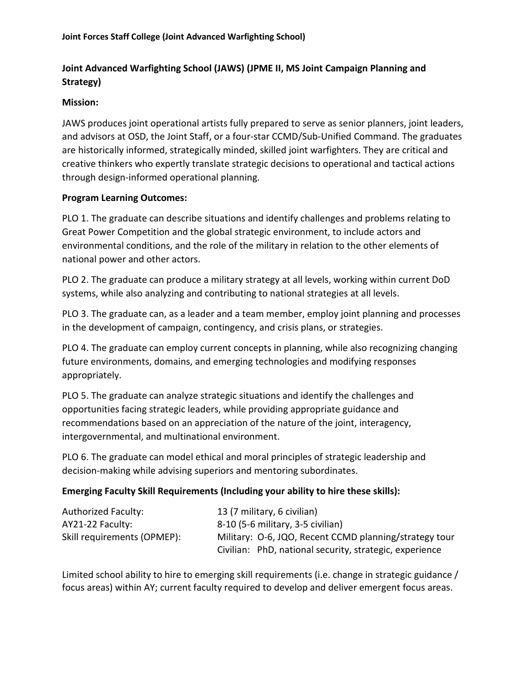# **Joint Advanced Warfighting School (JAWS) (JPME II, MS Joint Campaign Planning and Strategy)**

### **Mission:**

JAWS produces joint operational artists fully prepared to serve as senior planners, joint leaders, and advisors at OSD, the Joint Staff, or a four-star CCMD/Sub-Unified Command. The graduates are historically informed, strategically minded, skilled joint warfighters. They are critical and creative thinkers who expertly translate strategic decisions to operational and tactical actions through design-informed operational planning.

#### **Program Learning Outcomes:**

PLO 1. The graduate can describe situations and identify challenges and problems relating to Great Power Competition and the global strategic environment, to include actors and environmental conditions, and the role of the military in relation to the other elements of national power and other actors.

PLO 2. The graduate can produce a military strategy at all levels, working within current DoD systems, while also analyzing and contributing to national strategies at all levels.

PLO 3. The graduate can, as a leader and a team member, employ joint planning and processes in the development of campaign, contingency, and crisis plans, or strategies.

PLO 4. The graduate can employ current concepts in planning, while also recognizing changing future environments, domains, and emerging technologies and modifying responses appropriately.

PLO 5. The graduate can analyze strategic situations and identify the challenges and opportunities facing strategic leaders, while providing appropriate guidance and recommendations based on an appreciation of the nature of the joint, interagency, intergovernmental, and multinational environment.

PLO 6. The graduate can model ethical and moral principles of strategic leadership and decision-making while advising superiors and mentoring subordinates.

## **Emerging Faculty Skill Requirements (Including your ability to hire these skills):**

| <b>Authorized Faculty:</b>  | 13 (7 military, 6 civilian)                             |
|-----------------------------|---------------------------------------------------------|
| AY21-22 Faculty:            | 8-10 (5-6 military, 3-5 civilian)                       |
| Skill requirements (OPMEP): | Military: 0-6, JQO, Recent CCMD planning/strategy tour  |
|                             | Civilian: PhD, national security, strategic, experience |

Limited school ability to hire to emerging skill requirements (i.e. change in strategic guidance / focus areas) within AY; current faculty required to develop and deliver emergent focus areas.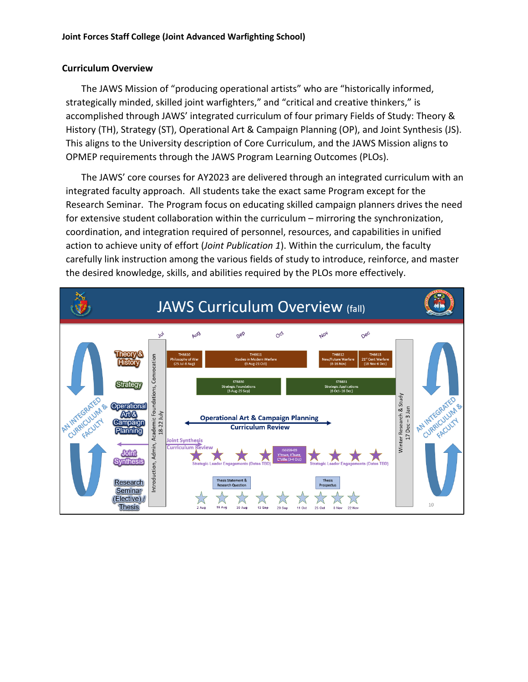#### **Curriculum Overview**

The JAWS Mission of "producing operational artists" who are "historically informed, strategically minded, skilled joint warfighters," and "critical and creative thinkers," is accomplished through JAWS' integrated curriculum of four primary Fields of Study: Theory & History (TH), Strategy (ST), Operational Art & Campaign Planning (OP), and Joint Synthesis (JS). This aligns to the University description of Core Curriculum, and the JAWS Mission aligns to OPMEP requirements through the JAWS Program Learning Outcomes (PLOs).

The JAWS' core courses for AY2023 are delivered through an integrated curriculum with an integrated faculty approach. All students take the exact same Program except for the Research Seminar. The Program focus on educating skilled campaign planners drives the need for extensive student collaboration within the curriculum – mirroring the synchronization, coordination, and integration required of personnel, resources, and capabilities in unified action to achieve unity of effort (*Joint Publication 1*). Within the curriculum, the faculty carefully link instruction among the various fields of study to introduce, reinforce, and master the desired knowledge, skills, and abilities required by the PLOs more effectively.